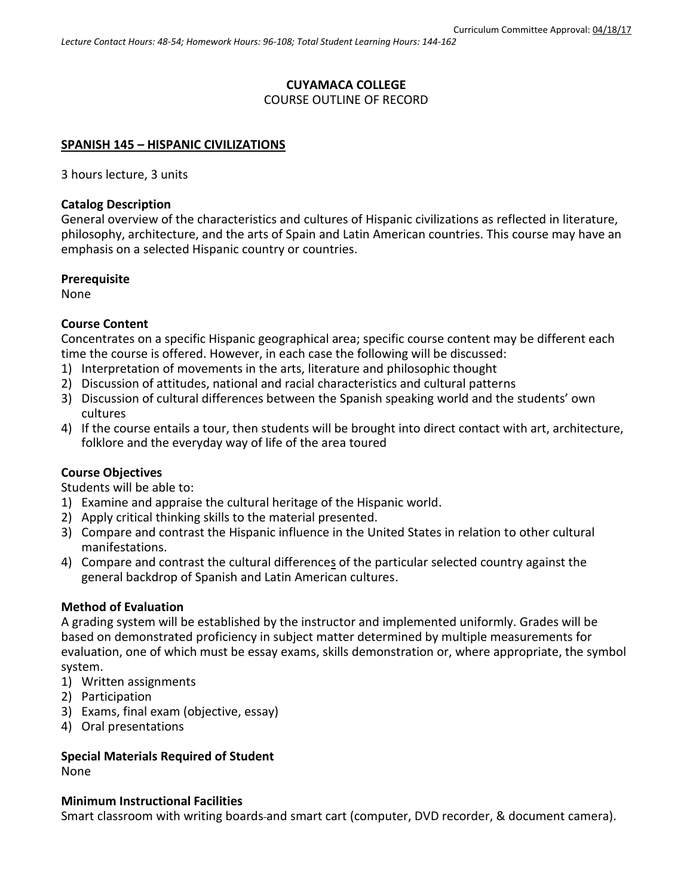# **CUYAMACA COLLEGE**

# COURSE OUTLINE OF RECORD

#### **SPANISH 145 – HISPANIC CIVILIZATIONS**

3 hours lecture, 3 units

## **Catalog Description**

General overview of the characteristics and cultures of Hispanic civilizations as reflected in literature, philosophy, architecture, and the arts of Spain and Latin American countries. This course may have an emphasis on a selected Hispanic country or countries.

#### **Prerequisite**

None

# **Course Content**

Concentrates on a specific Hispanic geographical area; specific course content may be different each time the course is offered. However, in each case the following will be discussed:

- 1) Interpretation of movements in the arts, literature and philosophic thought
- 2) Discussion of attitudes, national and racial characteristics and cultural patterns
- 3) Discussion of cultural differences between the Spanish speaking world and the students' own cultures
- 4) If the course entails a tour, then students will be brought into direct contact with art, architecture, folklore and the everyday way of life of the area toured

## **Course Objectives**

Students will be able to:

- 1) Examine and appraise the cultural heritage of the Hispanic world.
- 2) Apply critical thinking skills to the material presented.
- 3) Compare and contrast the Hispanic influence in the United States in relation to other cultural manifestations.
- 4) Compare and contrast the cultural differences of the particular selected country against the general backdrop of Spanish and Latin American cultures.

## **Method of Evaluation**

A grading system will be established by the instructor and implemented uniformly. Grades will be based on demonstrated proficiency in subject matter determined by multiple measurements for evaluation, one of which must be essay exams, skills demonstration or, where appropriate, the symbol system.

- 1) Written assignments
- 2) Participation
- 3) Exams, final exam (objective, essay)
- 4) Oral presentations

## **Special Materials Required of Student**

None

#### **Minimum Instructional Facilities**

Smart classroom with writing boards and smart cart (computer, DVD recorder, & document camera).